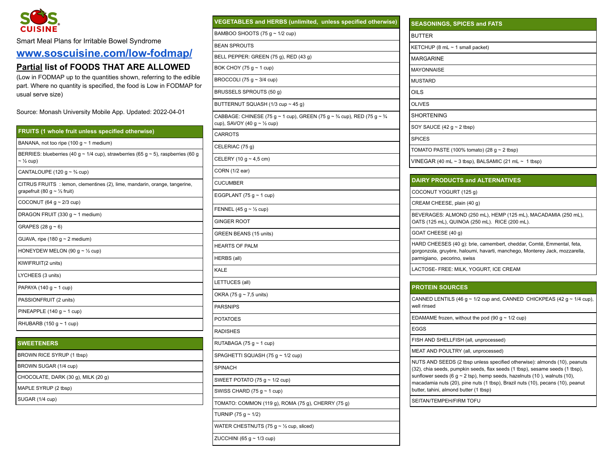

Smart Meal Plans for Irritable Bowel Syndrome

## **[www.soscuisine.com/low-fodmap/](http://www.soscuisine.com/low-fodmap/)**

## **Partial list of FOODS THAT ARE ALLOWED**

(Low in FODMAP up to the quantities shown, referring to the edible part. Where no quantity is specified, the food is Low in FODMAP for usual serve size)

Source: Monash University Mobile App. Updated: 2022-04-01

| FRUITS (1 whole fruit unless specified otherwise)                                                                            |  |  |
|------------------------------------------------------------------------------------------------------------------------------|--|--|
| BANANA, not too ripe (100 g $\sim$ 1 medium)                                                                                 |  |  |
| BERRIES: blueberries (40 g ~ 1/4 cup), strawberries (65 g ~ 5), raspberries (60 g<br>$\sim$ 1/ <sub>2</sub> cup)             |  |  |
| CANTALOUPE (120 $q \sim \frac{3}{4}$ cup)                                                                                    |  |  |
| CITRUS FRUITS : lemon, clementines (2), lime, mandarin, orange, tangerine,<br>grapefruit (80 g $\sim$ 1/ <sub>3</sub> fruit) |  |  |
| COCONUT (64 g $\sim$ 2/3 cup)                                                                                                |  |  |
| DRAGON FRUIT (330 g $\sim$ 1 medium)                                                                                         |  |  |
| GRAPES (28 $q \sim 6$ )                                                                                                      |  |  |
| GUAVA, ripe (180 $g \sim 2$ medium)                                                                                          |  |  |
| HONEYDEW MELON (90 g $\sim$ 1/2 cup)                                                                                         |  |  |
| KIWIFRUIT(2 units)                                                                                                           |  |  |
| LYCHEES (3 units)                                                                                                            |  |  |
| PAPAYA (140 g $\sim$ 1 cup)                                                                                                  |  |  |
| PASSIONFRUIT (2 units)                                                                                                       |  |  |
| PINEAPPLE (140 $q \sim 1$ cup)                                                                                               |  |  |
| RHUBARB (150 g $\sim$ 1 cup)                                                                                                 |  |  |
|                                                                                                                              |  |  |
| <b>SWEETENERS</b>                                                                                                            |  |  |
| BROWN RICE SYRUP (1 tbsp)                                                                                                    |  |  |
| BROWN SUGAR (1/4 cup)                                                                                                        |  |  |

| PINEAPPLE (140 $q \sim 1$ cup)      |  |
|-------------------------------------|--|
| RHUBARB (150 $q \sim 1$ cup)        |  |
|                                     |  |
| <b>SWEETENERS</b>                   |  |
| BROWN RICE SYRUP (1 tbsp)           |  |
| BROWN SUGAR (1/4 cup)               |  |
| CHOCOLATE, DARK (30 g), MILK (20 g) |  |
| MAPLE SYRUP (2 tbsp)                |  |
| SUGAR (1/4 cup)                     |  |

| <b>VEGETABLES and HERBS (unlimited, unless specified otherwise)</b>                                                                           |
|-----------------------------------------------------------------------------------------------------------------------------------------------|
| BAMBOO SHOOTS (75 g $\sim$ 1/2 cup)                                                                                                           |
| <b>BEAN SPROUTS</b>                                                                                                                           |
| BELL PEPPER: GREEN (75 g), RED (43 g)                                                                                                         |
| BOK CHOY (75 $g \sim 1$ cup)                                                                                                                  |
| BROCCOLI (75 g $\sim$ 3/4 cup)                                                                                                                |
| BRUSSELS SPROUTS (50 g)                                                                                                                       |
| BUTTERNUT SQUASH (1/3 cup ~ 45 g)                                                                                                             |
| CABBAGE: CHINESE (75 g ~ 1 cup), GREEN (75 g ~ $\frac{3}{4}$ cup), RED (75 g ~ $\frac{3}{4}$<br>cup), SAVOY (40 g $\sim$ 1/ <sub>2</sub> cup) |
| <b>CARROTS</b>                                                                                                                                |
| CELERIAC (75 g)                                                                                                                               |
| CELERY (10 g $\sim$ 4,5 cm)                                                                                                                   |
| CORN (1/2 ear)                                                                                                                                |
| <b>CUCUMBER</b>                                                                                                                               |
| EGGPLANT (75 $g \sim 1$ cup)                                                                                                                  |
| FENNEL (45 g $\sim$ 1/2 cup)                                                                                                                  |
| <b>GINGER ROOT</b>                                                                                                                            |
| GREEN BEANS (15 units)                                                                                                                        |
| <b>HEARTS OF PALM</b>                                                                                                                         |
| HERBS (all)                                                                                                                                   |
| KALE                                                                                                                                          |
| LETTUCES (all)                                                                                                                                |
| OKRA (75 g $\sim$ 7,5 units)                                                                                                                  |
| <b>PARSNIPS</b>                                                                                                                               |
| <b>POTATOES</b>                                                                                                                               |
| <b>RADISHES</b>                                                                                                                               |
| RUTABAGA (75 $g \sim 1$ cup)                                                                                                                  |
| SPAGHETTI SQUASH (75 g ~ 1/2 cup)                                                                                                             |
| <b>SPINACH</b>                                                                                                                                |
| SWEET POTATO (75 $g \sim 1/2$ cup)                                                                                                            |
| SWISS CHARD (75 $g \sim 1$ cup)                                                                                                               |
| TOMATO: COMMON (119 g), ROMA (75 g), CHERRY (75 g)                                                                                            |
| TURNIP (75 g ~ 1/2)                                                                                                                           |
| WATER CHESTNUTS (75 $g \sim \frac{1}{2}$ cup, sliced)                                                                                         |
| ZUCCHINI (65 g $\sim$ 1/3 cup)                                                                                                                |

| <b>BUTTER</b>                  |                                                               |
|--------------------------------|---------------------------------------------------------------|
|                                |                                                               |
|                                | KETCHUP (8 mL $\sim$ 1 small packet)                          |
| <b>MARGARINE</b>               |                                                               |
| <b>MAYONNAISE</b>              |                                                               |
| <b>MUSTARD</b>                 |                                                               |
| OILS                           |                                                               |
| <b>OLIVES</b>                  |                                                               |
| <b>SHORTENING</b>              |                                                               |
| SOY SAUCE (42 $g \sim 2$ tbsp) |                                                               |
| <b>SPICES</b>                  |                                                               |
|                                | TOMATO PASTE (100% tomato) (28 $g \sim 2$ tbsp)               |
|                                | VINEGAR (40 mL $\sim$ 3 tbsp), BALSAMIC (21 mL $\sim$ 1 tbsp) |

COCONUT YOGURT (125 g)

CREAM CHEESE, plain (40 g)

BEVERAGES: ALMOND (250 mL), HEMP (125 mL), MACADAMIA (250 mL), OATS (125 mL), QUINOA (250 mL). RICE (200 mL).

GOAT CHEESE (40 g)

HARD CHEESES (40 g): brie, camembert, cheddar, Comté, Emmental, feta, gorgonzola, gruyère, haloumi, havarti, manchego, Monterey Jack, mozzarella, parmigiano, pecorino, swiss

LACTOSE- FREE: MILK, YOGURT, ICE CREAM

## **PROTEIN SOURCES**

|  | CANNED LENTILS (46 g $\sim$ 1/2 cup and, CANNED CHICKPEAS (42 g $\sim$ 1/4 cup),<br>well rinsed                                                                                                                                                                                                                                                                        |
|--|------------------------------------------------------------------------------------------------------------------------------------------------------------------------------------------------------------------------------------------------------------------------------------------------------------------------------------------------------------------------|
|  | EDAMAME frozen, without the pod (90 g $\sim$ 1/2 cup)                                                                                                                                                                                                                                                                                                                  |
|  | EGGS                                                                                                                                                                                                                                                                                                                                                                   |
|  | FISH AND SHELLFISH (all, unprocessed)                                                                                                                                                                                                                                                                                                                                  |
|  | MEAT AND POULTRY (all, unprocessed)                                                                                                                                                                                                                                                                                                                                    |
|  | NUTS AND SEEDS (2 tbsp unless specified otherwise): almonds (10), peanuts<br>(32), chia seeds, pumpkin seeds, flax seeds (1 tbsp), sesame seeds (1 tbsp),<br>sunflower seeds (6 g $\sim$ 2 tsp), hemp seeds, hazelnuts (10), walnuts (10),<br>macadamia nuts (20), pine nuts (1 tbsp), Brazil nuts (10), pecans (10), peanut<br>butter, tahini, almond butter (1 tbsp) |
|  | SEITAN/TEMPEH/FIRM TOFU                                                                                                                                                                                                                                                                                                                                                |